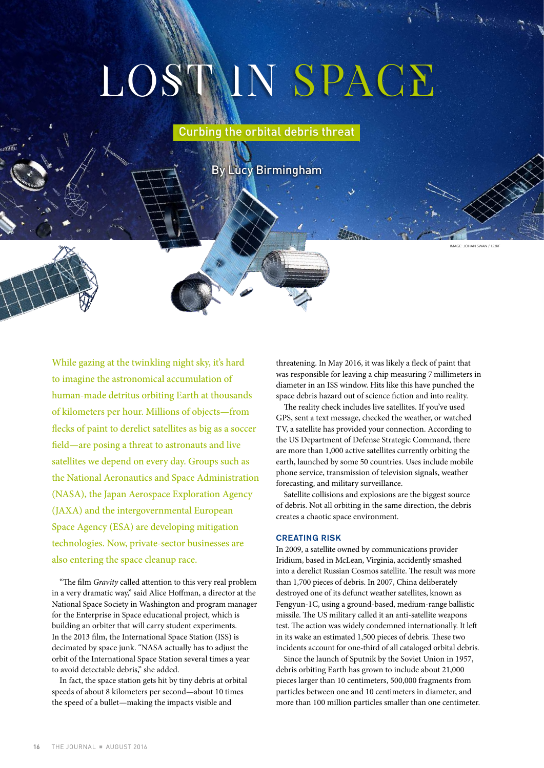# LOSTMN SPACE

Curbing the orbital debris threat

By Lucy Birmingham

.<br>IMAN SWAN / 123R

While gazing at the twinkling night sky, it's hard to imagine the astronomical accumulation of human-made detritus orbiting Earth at thousands of kilometers per hour. Millions of objects—from flecks of paint to derelict satellites as big as a soccer field—are posing a threat to astronauts and live satellites we depend on every day. Groups such as the National Aeronautics and Space Administration (NASA), the Japan Aerospace Exploration Agency (JAXA) and the intergovernmental European Space Agency (ESA) are developing mitigation technologies. Now, private-sector businesses are also entering the space cleanup race.

"The film *Gravity* called attention to this very real problem in a very dramatic way," said Alice Hoffman, a director at the National Space Society in Washington and program manager for the Enterprise in Space educational project, which is building an orbiter that will carry student experiments. In the 2013 film, the International Space Station (ISS) is decimated by space junk. "NASA actually has to adjust the orbit of the International Space Station several times a year to avoid detectable debris," she added.

In fact, the space station gets hit by tiny debris at orbital speeds of about 8 kilometers per second—about 10 times the speed of a bullet—making the impacts visible and

threatening. In May 2016, it was likely a fleck of paint that was responsible for leaving a chip measuring 7 millimeters in diameter in an ISS window. Hits like this have punched the space debris hazard out of science fiction and into reality.

The reality check includes live satellites. If you've used GPS, sent a text message, checked the weather, or watched TV, a satellite has provided your connection. According to the US Department of Defense Strategic Command, there are more than 1,000 active satellites currently orbiting the earth, launched by some 50 countries. Uses include mobile phone service, transmission of television signals, weather forecasting, and military surveillance.

Satellite collisions and explosions are the biggest source of debris. Not all orbiting in the same direction, the debris creates a chaotic space environment.

### CREATING RISK

In 2009, a satellite owned by communications provider Iridium, based in McLean, Virginia, accidently smashed into a derelict Russian Cosmos satellite. The result was more than 1,700 pieces of debris. In 2007, China deliberately destroyed one of its defunct weather satellites, known as Fengyun-1C, using a ground-based, medium-range ballistic missile. The US military called it an anti-satellite weapons test. The action was widely condemned internationally. It left in its wake an estimated 1,500 pieces of debris. These two incidents account for one-third of all cataloged orbital debris.

Since the launch of Sputnik by the Soviet Union in 1957, debris orbiting Earth has grown to include about 21,000 pieces larger than 10 centimeters, 500,000 fragments from particles between one and 10 centimeters in diameter, and more than 100 million particles smaller than one centimeter.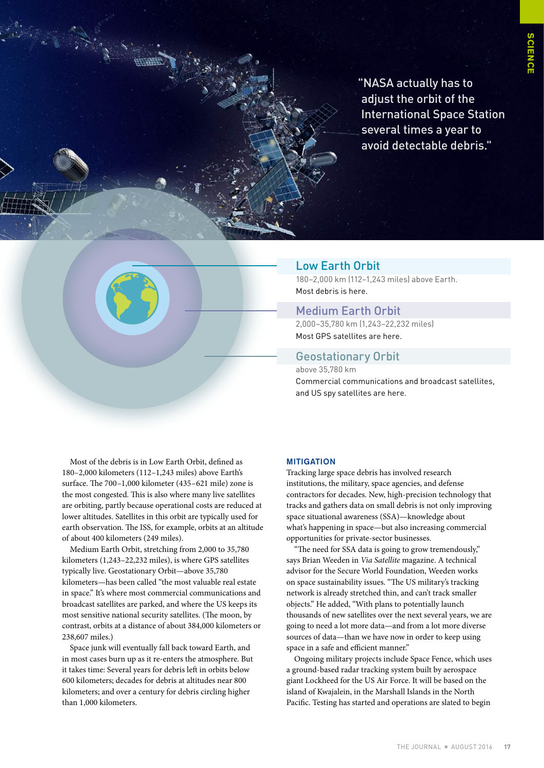"NASA actually has to adjust the orbit of the International Space Station several times a year to avoid detectable debris."



# Low Earth Orbit

180–2,000 km (112–1,243 miles) above Earth. Most debris is here.

# Medium Earth Orbit

2,000–35,780 km (1,243–22,232 miles) Most GPS satellites are here.

# Geostationary Orbit

above 35,780 km Commercial communications and broadcast satellites, and US spy satellites are here.

Most of the debris is in Low Earth Orbit, defined as 180–2,000 kilometers (112–1,243 miles) above Earth's surface. The 700–1,000 kilometer (435–621 mile) zone is the most congested. This is also where many live satellites are orbiting, partly because operational costs are reduced at lower altitudes. Satellites in this orbit are typically used for earth observation. The ISS, for example, orbits at an altitude of about 400 kilometers (249 miles).

Medium Earth Orbit, stretching from 2,000 to 35,780 kilometers (1,243–22,232 miles), is where GPS satellites typically live. Geostationary Orbit—above 35,780 kilometers—has been called "the most valuable real estate in space." It's where most commercial communications and broadcast satellites are parked, and where the US keeps its most sensitive national security satellites. (The moon, by contrast, orbits at a distance of about 384,000 kilometers or 238,607 miles.)

Space junk will eventually fall back toward Earth, and in most cases burn up as it re-enters the atmosphere. But it takes time: Several years for debris left in orbits below 600 kilometers; decades for debris at altitudes near 800 kilometers; and over a century for debris circling higher than 1,000 kilometers.

# **MITIGATION**

Tracking large space debris has involved research institutions, the military, space agencies, and defense contractors for decades. New, high-precision technology that tracks and gathers data on small debris is not only improving space situational awareness (SSA)—knowledge about what's happening in space—but also increasing commercial opportunities for private-sector businesses.

"The need for SSA data is going to grow tremendously," says Brian Weeden in *Via Satellite* magazine. A technical advisor for the Secure World Foundation, Weeden works on space sustainability issues. "The US military's tracking network is already stretched thin, and can't track smaller objects." He added, "With plans to potentially launch thousands of new satellites over the next several years, we are going to need a lot more data—and from a lot more diverse sources of data—than we have now in order to keep using space in a safe and efficient manner."

Ongoing military projects include Space Fence, which uses a ground-based radar tracking system built by aerospace giant Lockheed for the US Air Force. It will be based on the island of Kwajalein, in the Marshall Islands in the North Pacific. Testing has started and operations are slated to begin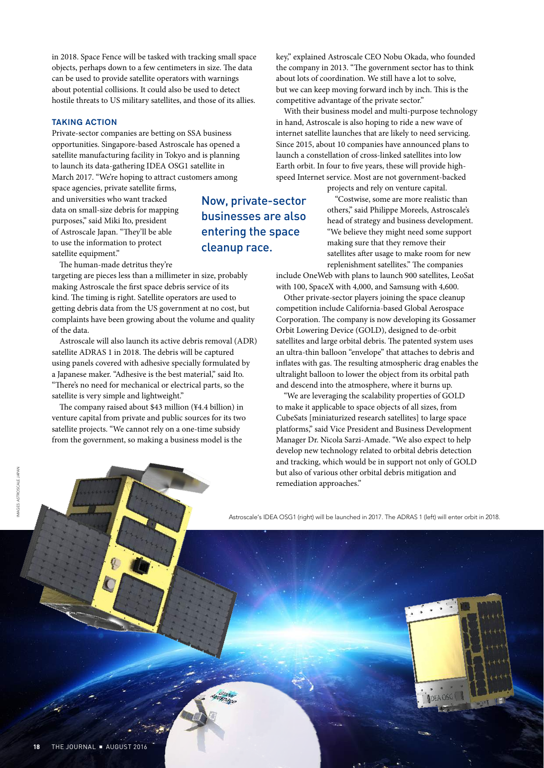in 2018. Space Fence will be tasked with tracking small space objects, perhaps down to a few centimeters in size. The data can be used to provide satellite operators with warnings about potential collisions. It could also be used to detect hostile threats to US military satellites, and those of its allies.

## TAKING ACTION

Private-sector companies are betting on SSA business opportunities. Singapore-based Astroscale has opened a satellite manufacturing facility in Tokyo and is planning to launch its data-gathering IDEA OSG1 satellite in March 2017. "We're hoping to attract customers among

space agencies, private satellite firms, and universities who want tracked data on small-size debris for mapping purposes," said Miki Ito, president of Astroscale Japan. "They'll be able to use the information to protect satellite equipment."

The human-made detritus they're

targeting are pieces less than a millimeter in size, probably making Astroscale the first space debris service of its kind. The timing is right. Satellite operators are used to getting debris data from the US government at no cost, but complaints have been growing about the volume and quality of the data.

Astroscale will also launch its active debris removal (ADR) satellite ADRAS 1 in 2018. The debris will be captured using panels covered with adhesive specially formulated by a Japanese maker. "Adhesive is the best material," said Ito. "There's no need for mechanical or electrical parts, so the satellite is very simple and lightweight."

The company raised about \$43 million (¥4.4 billion) in venture capital from private and public sources for its two satellite projects. "We cannot rely on a one-time subsidy from the government, so making a business model is the

Now, private-sector businesses are also entering the space cleanup race.

key," explained Astroscale CEO Nobu Okada, who founded the company in 2013. "The government sector has to think about lots of coordination. We still have a lot to solve, but we can keep moving forward inch by inch. This is the competitive advantage of the private sector."

With their business model and multi-purpose technology in hand, Astroscale is also hoping to ride a new wave of internet satellite launches that are likely to need servicing. Since 2015, about 10 companies have announced plans to launch a constellation of cross-linked satellites into low Earth orbit. In four to five years, these will provide highspeed Internet service. Most are not government-backed

projects and rely on venture capital.

"Costwise, some are more realistic than others," said Philippe Moreels, Astroscale's head of strategy and business development. "We believe they might need some support making sure that they remove their satellites after usage to make room for new replenishment satellites." The companies

include OneWeb with plans to launch 900 satellites, LeoSat with 100, SpaceX with 4,000, and Samsung with 4,600.

Other private-sector players joining the space cleanup competition include California-based Global Aerospace Corporation. The company is now developing its Gossamer Orbit Lowering Device (GOLD), designed to de-orbit satellites and large orbital debris. The patented system uses an ultra-thin balloon "envelope" that attaches to debris and inflates with gas. The resulting atmospheric drag enables the ultralight balloon to lower the object from its orbital path and descend into the atmosphere, where it burns up.

"We are leveraging the scalability properties of GOLD to make it applicable to space objects of all sizes, from CubeSats [miniaturized research satellites] to large space platforms," said Vice President and Business Development Manager Dr. Nicola Sarzi-Amade. "We also expect to help develop new technology related to orbital debris detection and tracking, which would be in support not only of GOLD but also of various other orbital debris mitigation and remediation approaches."

Astroscale's IDEA OSG1 (right) will be launched in 2017. The ADRAS 1 (left) will enter orbit in 2018.